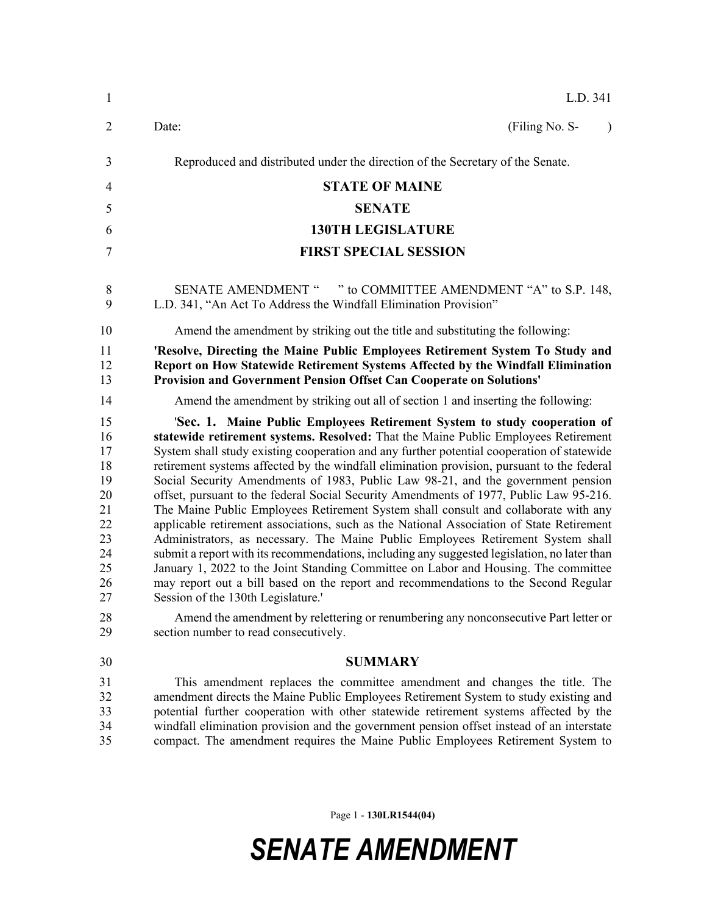| $\mathbf{1}$                                                                           | L.D. 341                                                                                                                                                                                                                                                                                                                                                                                                                                                                                                                                                                                                                                                                                                                                                                                                                                                                                                                                                                                                                                                                                                                                                                                                                                                             |
|----------------------------------------------------------------------------------------|----------------------------------------------------------------------------------------------------------------------------------------------------------------------------------------------------------------------------------------------------------------------------------------------------------------------------------------------------------------------------------------------------------------------------------------------------------------------------------------------------------------------------------------------------------------------------------------------------------------------------------------------------------------------------------------------------------------------------------------------------------------------------------------------------------------------------------------------------------------------------------------------------------------------------------------------------------------------------------------------------------------------------------------------------------------------------------------------------------------------------------------------------------------------------------------------------------------------------------------------------------------------|
| $\overline{2}$                                                                         | (Filing No. S-<br>Date:<br>$\lambda$                                                                                                                                                                                                                                                                                                                                                                                                                                                                                                                                                                                                                                                                                                                                                                                                                                                                                                                                                                                                                                                                                                                                                                                                                                 |
| 3                                                                                      | Reproduced and distributed under the direction of the Secretary of the Senate.                                                                                                                                                                                                                                                                                                                                                                                                                                                                                                                                                                                                                                                                                                                                                                                                                                                                                                                                                                                                                                                                                                                                                                                       |
| 4                                                                                      | <b>STATE OF MAINE</b>                                                                                                                                                                                                                                                                                                                                                                                                                                                                                                                                                                                                                                                                                                                                                                                                                                                                                                                                                                                                                                                                                                                                                                                                                                                |
| 5                                                                                      | <b>SENATE</b>                                                                                                                                                                                                                                                                                                                                                                                                                                                                                                                                                                                                                                                                                                                                                                                                                                                                                                                                                                                                                                                                                                                                                                                                                                                        |
| 6                                                                                      | <b>130TH LEGISLATURE</b>                                                                                                                                                                                                                                                                                                                                                                                                                                                                                                                                                                                                                                                                                                                                                                                                                                                                                                                                                                                                                                                                                                                                                                                                                                             |
| 7                                                                                      | <b>FIRST SPECIAL SESSION</b>                                                                                                                                                                                                                                                                                                                                                                                                                                                                                                                                                                                                                                                                                                                                                                                                                                                                                                                                                                                                                                                                                                                                                                                                                                         |
| 8<br>9                                                                                 | SENATE AMENDMENT " " to COMMITTEE AMENDMENT "A" to S.P. 148,<br>L.D. 341, "An Act To Address the Windfall Elimination Provision"                                                                                                                                                                                                                                                                                                                                                                                                                                                                                                                                                                                                                                                                                                                                                                                                                                                                                                                                                                                                                                                                                                                                     |
| 10                                                                                     | Amend the amendment by striking out the title and substituting the following:                                                                                                                                                                                                                                                                                                                                                                                                                                                                                                                                                                                                                                                                                                                                                                                                                                                                                                                                                                                                                                                                                                                                                                                        |
| 11<br>12<br>13                                                                         | 'Resolve, Directing the Maine Public Employees Retirement System To Study and<br>Report on How Statewide Retirement Systems Affected by the Windfall Elimination<br>Provision and Government Pension Offset Can Cooperate on Solutions'                                                                                                                                                                                                                                                                                                                                                                                                                                                                                                                                                                                                                                                                                                                                                                                                                                                                                                                                                                                                                              |
| 14                                                                                     | Amend the amendment by striking out all of section 1 and inserting the following:                                                                                                                                                                                                                                                                                                                                                                                                                                                                                                                                                                                                                                                                                                                                                                                                                                                                                                                                                                                                                                                                                                                                                                                    |
| 15<br>16<br>17<br>18<br>19<br>20<br>21<br>22<br>23<br>24<br>25<br>26<br>27<br>28<br>29 | 'Sec. 1. Maine Public Employees Retirement System to study cooperation of<br>statewide retirement systems. Resolved: That the Maine Public Employees Retirement<br>System shall study existing cooperation and any further potential cooperation of statewide<br>retirement systems affected by the windfall elimination provision, pursuant to the federal<br>Social Security Amendments of 1983, Public Law 98-21, and the government pension<br>offset, pursuant to the federal Social Security Amendments of 1977, Public Law 95-216.<br>The Maine Public Employees Retirement System shall consult and collaborate with any<br>applicable retirement associations, such as the National Association of State Retirement<br>Administrators, as necessary. The Maine Public Employees Retirement System shall<br>submit a report with its recommendations, including any suggested legislation, no later than<br>January 1, 2022 to the Joint Standing Committee on Labor and Housing. The committee<br>may report out a bill based on the report and recommendations to the Second Regular<br>Session of the 130th Legislature.'<br>Amend the amendment by relettering or renumbering any nonconsecutive Part letter or<br>section number to read consecutively. |
| 30                                                                                     | <b>SUMMARY</b>                                                                                                                                                                                                                                                                                                                                                                                                                                                                                                                                                                                                                                                                                                                                                                                                                                                                                                                                                                                                                                                                                                                                                                                                                                                       |
| 31<br>32<br>33<br>34<br>35                                                             | This amendment replaces the committee amendment and changes the title. The<br>amendment directs the Maine Public Employees Retirement System to study existing and<br>potential further cooperation with other statewide retirement systems affected by the<br>windfall elimination provision and the government pension offset instead of an interstate<br>compact. The amendment requires the Maine Public Employees Retirement System to                                                                                                                                                                                                                                                                                                                                                                                                                                                                                                                                                                                                                                                                                                                                                                                                                          |

Page 1 - **130LR1544(04)**

## *SENATE AMENDMENT*